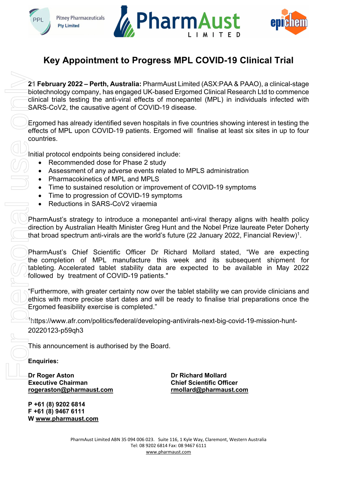





## **Key Appointment to Progress MPL COVID-19 Clinical Trial**

**21 February 2022 – Perth, Australia:** PharmAust Limited (ASX:PAA & PAAO), a clinical-stage biotechnology company, has engaged UK-based Ergomed Clinical Research Ltd to commence clinical trials testing the anti-viral effects of monepantel (MPL) in individuals infected with SARS-CoV2, the causative agent of COVID-19 disease.

Ergomed has already identified seven hospitals in five countries showing interest in testing the effects of MPL upon COVID-19 patients. Ergomed will finalise at least six sites in up to four countries.

Initial protocol endpoints being considered include:

- Recommended dose for Phase 2 study
- Assessment of any adverse events related to MPLS administration
- Pharmacokinetics of MPL and MPLS
- Time to sustained resolution or improvement of COVID-19 symptoms
- Time to progression of COVID-19 symptoms
- Reductions in SARS-CoV2 viraemia

PharmAust's strategy to introduce a monepantel anti-viral therapy aligns with health policy direction by Australian Health Minister Greg Hunt and the Nobel Prize laureate Peter Doherty that broad spectrum anti-virals are the world's future (22 January 2022, Financial Review) $^{\rm 1}.$ 

PharmAust's Chief Scientific Officer Dr Richard Mollard stated, "We are expecting the completion of MPL manufacture this week and its subsequent shipment for tableting. Accelerated tablet stability data are expected to be available in May 2022 followed by treatment of COVID-19 patients."

"Furthermore, with greater certainty now over the tablet stability we can provide clinicians and ethics with more precise start dates and will be ready to finalise trial preparations once the Ergomed feasibility exercise is completed."

1https://www.afr.com/politics/federal/developing-antivirals-next-big-covid-19-mission-hunt-20220123-p59qh3

This announcement is authorised by the Board.

**Enquiries:** 

**Dr Roger Aston Dr Richard Mollard [rogeraston@pharmaust.com](mailto:rogeraston@pharmaust.com) [rmollard@pharmaust.com](mailto:rmollard@pharmaust.com)** 

**P +61 (8) 9202 6814 F +61 (8) 9467 6111**

**Chief Scientific Officer<br>mollard@pharmaust.com**